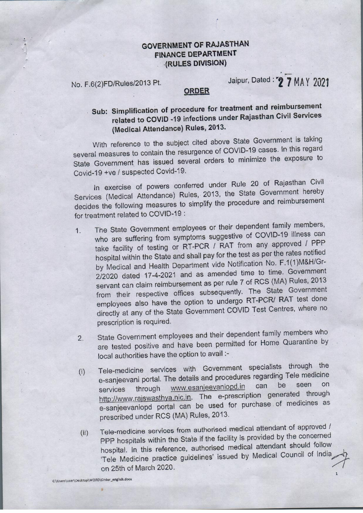### **GOVERNMENT OF RAJASTHAN FINANCE DEPARTMENT . · ·(RULES DIVISION)**

,•

No. F .6(2)FD/Rules/2013 Pt.

# Jaipur, Dated : ••. **2 ·7 MA** y **2021**

#### **QRDEB**

## **. Sub: Simplification of procedure for treatment and reimbursement related to COVID -19 infections under Rajasthan Civil Services (Medical Attendance) Rules, 2013.**

With reference to the subject cited above State Government is taking several measures to contain the resurgence of COVID-19 cases. In this regard State Government has issued several orders to minimize the exposure to Covid-19 +ve / suspected Covid-19.

In exercise of powers conferred under Rule 20 of Rajasthan Civil Services (Medical Attendance) Rules, 2013, the State Government hereby decides the following measures to simplify the procedure and reimbursement for treatment related to COVID-19 :

- 1. The State Government employees or their dependent family members, who are suffering from symptoms suggestive of COVID-19 illness can take facility of testing or RT-PCR / RAT from any approved / PPP hospital within the State and shall pay for the test as per the rates notified -by Medical and Health Department vide Notification No. F.1(1)M&H/Gr-2/2020 dated 17-4-2021 and as amended time to time. Government servant can claim reimbursement as per rule 7 of RCS (MA) Rules, 2013 from their respective offices subsequently. The State Government employees also have the option to undergo RT-PCR/ RAT test done directly at any of the State Government COVID Test Centres, where no prescription is required.
- 2. State Government employees and their dependent family members who are tested positive and have been permitted for Home Quarantine by local authorities have the option to avail :-
- (i) Tele-medicine services with Government specialists through the e-sanjeevani portal. The details and procedures regarding Tele medicine services through www.esanjeevaniopd.in can http://www.rajswasthya.nic.in. The e-prescription generated through e-sanjeevaniopd portal can be used for purchase . of medicines as prescribed under RCS (MA) Rules, 2013.
- (ii) Tele-medicine services from authorised medical attendant of approved *I*  PPP hospitals within the State if the facility is provided by the concerned hospital. In this reference, authorised medical attendant should follow PPP hospitals within the State if the facility is provided by the censelities<br>hospital. In this reference, authorised medical attendant should follow<br>Tele Medicine practice guidelines' issued by Medical Council of India hospital. In this reference, authorised medical attendant should be<br>Tele Medicine practice guidelines' issued by Medical Council of India<br>on 25th of March 2020.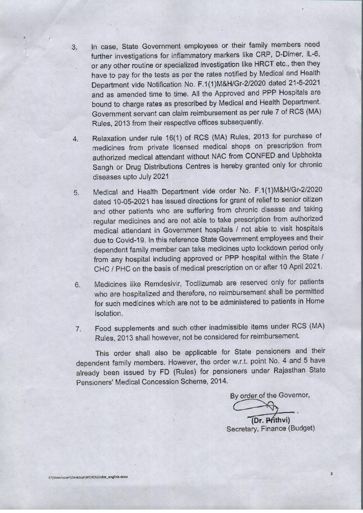- 3. In case, State Government employees or their family members need further investigations for inflammatory markers like CRP, D-Dimer, IL-6, or any other routine or specialized investigation like HRCT etc., then they have to pay for the tests as per the rates notified by Medical and Health Department vide Notification No. F.1(1)M&H/Gr-2/2020 dated.21-5-2021 and as amended time to time. All the Approved and PPP Hospitals are bound to charqe rates as prescribed by Medical and Health Department. Government servant can claim reimbursement as per rule 7 of RCS (MA) . Rules, 2013 from their respective offices subsequently.
- 4. Relaxation under rule 16(1) of RCS **(MA)** Rules, 2013 for purchase of medicines from private licensed medical shops on prescription from authorized medical attendant without NAC from CONFED and Upbhokta Sangh or Drug Distributions Centres is hereby granted only for chronic diseases upto July 2021
- 5. Medical and Health Department vide order No. F.1(1)M&H/Gr-2/2020 dated 10-05-2021 has issued directions for grant of relief to senior citizen and other patients who· are suffering from chronic disease and taking regular medicines and are not able to take prescription from authorized medical attendant in Government hospitals / not able to visit hospitals· due to Covid-19. In this reference State Government employees and their dependent family member can take medicines upto lockdown period only from any hospital including approved or PPP hospital within the State / CHC / PHC on the basis of medical prescription on or after 10 April 2021.
- 6. Medicines like Remdesivir, Tocilizumab are reserved only for patients who are hospitalized and therefore, no reimbursement shall be permitted for such medicines which are not to be administered to patients in Home isolation.
- 7. Food supplements and such other inadmissible items under RCS (MA) Rules, 2013 shall however, not be considered for reimbursement.

This order shall also be applicable for State pensioners and their dependent family members. However, the order w.r.t. point No. 4 and 5 have already been issued· by FD (Rules) for pensioners under Rajasthan State Pensioners' Medical Concession Scheme, 2014.

By order of the Governor,

**.-(Dr. pfithvi)**  Secretary, Finance (Budget)

**2**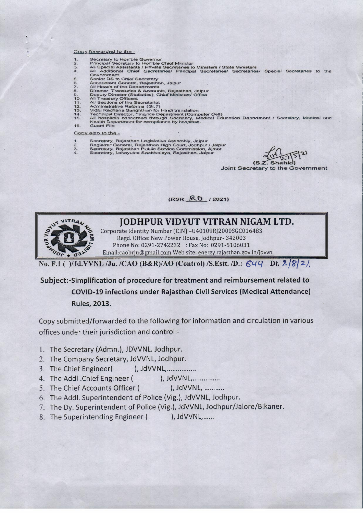#### Copy forwarded to the -

- $rac{1}{2}$
- 
- Secretary to Hon'ble Governor<br>Principal Secretary to Hon'ble Chief Ministor<br>All Special Assistants / Private Secretaries to Ministers / State Ministers<br>All Additional Chief Secretaries/ Principal Secretaries/ Secretaries  $\frac{3}{4}$ Secretaries/ Special Secretaries to the Government<br>Senior DS to Chief Secretary
- 5.
- 67.8
- 
- 
- $9.0.11$ <br> $12.3.45$
- 
- 
- 
- Senior DS to Chief Secretary<br>Accountant General, Regissional, Jaipur<br>Accountant General, Regissional, Jaipur<br>Director, Treasures & Accounts, Rejesthan, Jaipur<br>Deputy Director (Statistics), Chief Ministers' Office<br>All Treas
- 16 **Guard File**

#### Copy also to the -

- $\frac{1}{2}$
- Socretary, Rajasthan Legisłative Assembly, Jaipur<br>Registrar General, Rajasthan High Court, Jodhpur / Jaipur<br>Secretary, Rajasthan Public Service Commission, Ajmer<br>Secretary, Lokayukta Sachivalaya, Rajasthan, Jaipur
- $\frac{3}{4}$

 $(S,Z)$ 

Joint Secretary to the Government

(RSR & 0 / 2021)



No. F.1 ()/Jd.VVNL /Ju. /CAO (B&R)/AO (Control) /S.Estt. /D.: 644 Dt. 2 8 2/

### Subject:-Simplification of procedure for treatment and reimbursement related to **COVID-19 infections under Rajasthan Civil Services (Medical Attendance) Rules, 2013.**

Copy submitted/forwarded to the following for information and circulation in various offices under their jurisdiction and control:-

- 1. The Secretary (Admn.), JDVVNL. Jodhpur.
- 2. The Company Secretary, JdVVNL, Jodhpur.
- 3. The Chief Engineer(  $),$  JdVVNL, ... ... ... ........
- 4. The Addl . Chief Engineer ( ). JdVVNL.................
- ), JdVVNL, ........... 5. The Chief Accounts Officer (
- 6. The Addl. Superintendent of Police (Vig.), JdVVNL, Jodhpur.
- 7. The Dy. Superintendent of Police (Vig.), JdVVNL, Jodhpur/Jalore/Bikaner.
- 8. The Superintending Engineer ( ), JdVVNL, ......